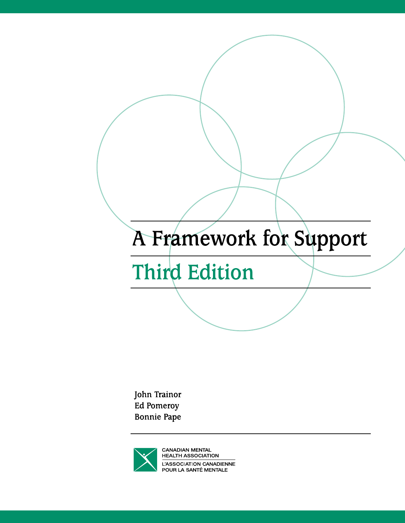# A Framework for Support

**Third Edition** 

John Trainor **Ed Pomeroy Bonnie Pape** 

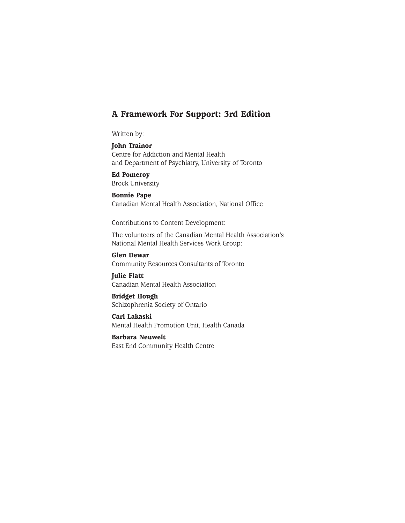# **A Framework For Support: 3rd Edition**

Written by:

**John Trainor** Centre for Addiction and Mental Health and Department of Psychiatry, University of Toronto

**Ed Pomeroy** Brock University

**Bonnie Pape** Canadian Mental Health Association, National Office

Contributions to Content Development:

The volunteers of the Canadian Mental Health Association's National Mental Health Services Work Group:

**Glen Dewar** Community Resources Consultants of Toronto

**Julie Flatt** Canadian Mental Health Association

**Bridget Hough** Schizophrenia Society of Ontario

**Carl Lakaski** Mental Health Promotion Unit, Health Canada

**Barbara Neuwelt** East End Community Health Centre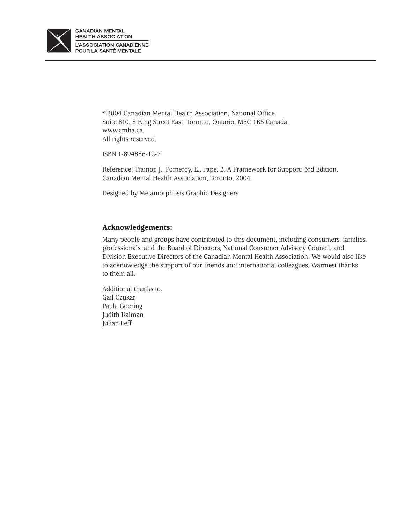

© 2004 Canadian Mental Health Association, National Office, Suite 810, 8 King Street East, Toronto, Ontario, M5C 1B5 Canada. www.cmha.ca. All rights reserved.

ISBN 1-894886-12-7

Reference: Trainor, J., Pomeroy, E., Pape, B. A Framework for Support: 3rd Edition. Canadian Mental Health Association, Toronto, 2004.

Designed by Metamorphosis Graphic Designers

# **Acknowledgements:**

Many people and groups have contributed to this document, including consumers, families, professionals, and the Board of Directors, National Consumer Advisory Council, and Division Executive Directors of the Canadian Mental Health Association. We would also like to acknowledge the support of our friends and international colleagues. Warmest thanks to them all.

Additional thanks to: Gail Czukar Paula Goering Judith Kalman Julian Leff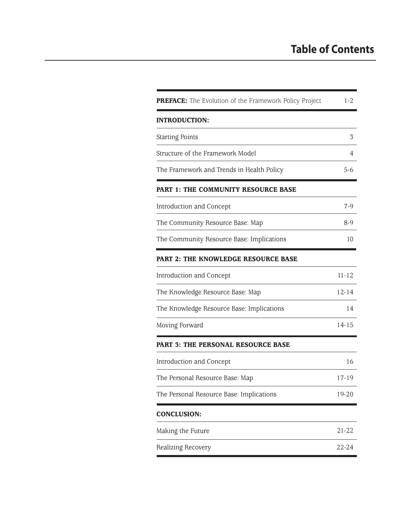# **Table of Contents**

| PREFACE: The Evolution of the Framework Policy Project | $1-2$     |
|--------------------------------------------------------|-----------|
| <b>INTRODUCTION:</b>                                   |           |
| <b>Starting Points</b>                                 | 3         |
| Structure of the Framework Model                       | 4         |
| The Framework and Trends in Health Policy              | $5-6$     |
| <b>PART 1: THE COMMUNITY RESOURCE BASE</b>             |           |
| Introduction and Concept                               | $7-9$     |
| The Community Resource Base: Map                       | $8-9$     |
| The Community Resource Base: Implications              | 10        |
| PART 2: THE KNOWLEDGE RESOURCE BASE                    |           |
| Introduction and Concept                               | $11 - 12$ |
| The Knowledge Resource Base: Map                       | $12 - 14$ |
| The Knowledge Resource Base: Implications              | 14        |
| Moving Forward                                         | $14-15$   |
| PART 3: THE PERSONAL RESOURCE BASE                     |           |
| Introduction and Concept                               | 16        |
| The Personal Resource Base: Map                        | 17-19     |
| The Personal Resource Base: Implications               | 19-20     |
| <b>CONCLUSION:</b>                                     |           |
| Making the Future                                      | 21-22     |
| Realizing Recovery                                     | 22-24     |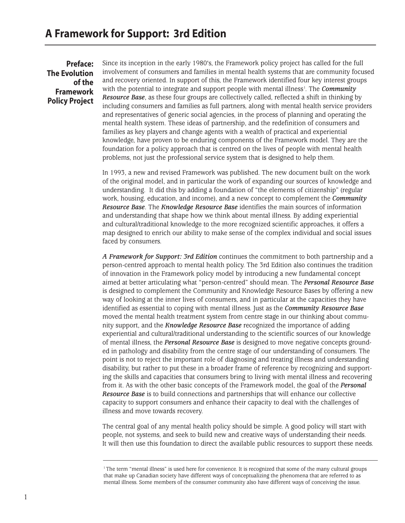**Preface: The Evolution of the Framework Policy Project** Since its inception in the early 1980's, the Framework policy project has called for the full involvement of consumers and families in mental health systems that are community focused and recovery oriented. In support of this, the Framework identified four key interest groups with the potential to integrate and support people with mental illness'. The *Community Resource Base*, as these four groups are collectively called, reflected a shift in thinking by including consumers and families as full partners, along with mental health service providers and representatives of generic social agencies, in the process of planning and operating the mental health system. These ideas of partnership, and the redefinition of consumers and families as key players and change agents with a wealth of practical and experiential knowledge, have proven to be enduring components of the Framework model. They are the foundation for a policy approach that is centred on the lives of people with mental health problems, not just the professional service system that is designed to help them.

In 1993, a new and revised Framework was published. The new document built on the work of the original model, and in particular the work of expanding our sources of knowledge and understanding. It did this by adding a foundation of "the elements of citizenship" (regular work, housing, education, and income), and a new concept to complement the *Community Resource Base*. The *Knowledge Resource Base* identifies the main sources of information and understanding that shape how we think about mental illness. By adding experiential and cultural/traditional knowledge to the more recognized scientific approaches, it offers a map designed to enrich our ability to make sense of the complex individual and social issues faced by consumers.

*A Framework for Support: 3rd Edition* continues the commitment to both partnership and a person-centred approach to mental health policy. The 3rd Edition also continues the tradition of innovation in the Framework policy model by introducing a new fundamental concept aimed at better articulating what "person-centred" should mean. The *Personal Resource Base* is designed to complement the Community and Knowledge Resource Bases by offering a new way of looking at the inner lives of consumers, and in particular at the capacities they have identified as essential to coping with mental illness. Just as the *Community Resource Base* moved the mental health treatment system from centre stage in our thinking about community support, and the *Knowledge Resource Base* recognized the importance of adding experiential and cultural/traditional understanding to the scientific sources of our knowledge of mental illness, the *Personal Resource Base* is designed to move negative concepts grounded in pathology and disability from the centre stage of our understanding of consumers. The point is not to reject the important role of diagnosing and treating illness and understanding disability, but rather to put these in a broader frame of reference by recognizing and supporting the skills and capacities that consumers bring to living with mental illness and recovering from it. As with the other basic concepts of the Framework model, the goal of the *Personal Resource Base* is to build connections and partnerships that will enhance our collective capacity to support consumers and enhance their capacity to deal with the challenges of illness and move towards recovery.

The central goal of any mental health policy should be simple. A good policy will start with people, not systems, and seek to build new and creative ways of understanding their needs. It will then use this foundation to direct the available public resources to support these needs.

<sup>1</sup> The term "mental illness" is used here for convenience. It is recognized that some of the many cultural groups that make up Canadian society have different ways of conceptualizing the phenomena that are referred to as mental illness. Some members of the consumer community also have different ways of conceiving the issue.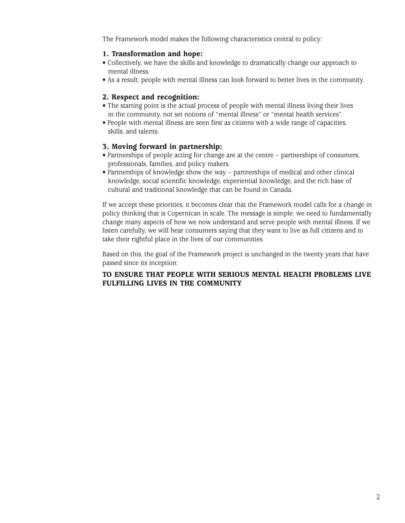The Framework model makes the following characteristics central to policy:

# **1. Transformation and hope:**

- Collectively, we have the skills and knowledge to dramatically change our approach to mental illness.
- As a result, people with mental illness can look forward to better lives in the community.

# **2. Respect and recognition:**

- The starting point is the actual process of people with mental illness living their lives in the community, not set notions of "mental illness" or "mental health services".
- People with mental illness are seen first as citizens with a wide range of capacities, skills, and talents.

# **3. Moving forward in partnership:**

- Partnerships of people acting for change are at the centre partnerships of consumers, professionals, families, and policy makers.
- Partnerships of knowledge show the way partnerships of medical and other clinical knowledge, social scientific knowledge, experiential knowledge, and the rich base of cultural and traditional knowledge that can be found in Canada.

If we accept these priorities, it becomes clear that the Framework model calls for a change in policy thinking that is Copernican in scale. The message is simple: we need to fundamentally change many aspects of how we now understand and serve people with mental illness. If we listen carefully, we will hear consumers saying that they want to live as full citizens and to take their rightful place in the lives of our communities.

Based on this, the goal of the Framework project is unchanged in the twenty years that have passed since its inception:

# **TO ENSURE THAT PEOPLE WITH SERIOUS MENTAL HEALTH PROBLEMS LIVE FULFILLING LIVES IN THE COMMUNITY**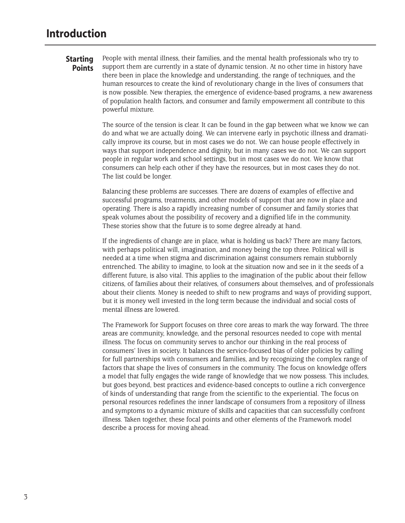# **Starting Points**

People with mental illness, their families, and the mental health professionals who try to support them are currently in a state of dynamic tension. At no other time in history have there been in place the knowledge and understanding, the range of techniques, and the human resources to create the kind of revolutionary change in the lives of consumers that is now possible. New therapies, the emergence of evidence-based programs, a new awareness of population health factors, and consumer and family empowerment all contribute to this powerful mixture.

The source of the tension is clear. It can be found in the gap between what we know we can do and what we are actually doing. We can intervene early in psychotic illness and dramatically improve its course, but in most cases we do not. We can house people effectively in ways that support independence and dignity, but in many cases we do not. We can support people in regular work and school settings, but in most cases we do not. We know that consumers can help each other if they have the resources, but in most cases they do not. The list could be longer.

Balancing these problems are successes. There are dozens of examples of effective and successful programs, treatments, and other models of support that are now in place and operating. There is also a rapidly increasing number of consumer and family stories that speak volumes about the possibility of recovery and a dignified life in the community. These stories show that the future is to some degree already at hand.

If the ingredients of change are in place, what is holding us back? There are many factors, with perhaps political will, imagination, and money being the top three. Political will is needed at a time when stigma and discrimination against consumers remain stubbornly entrenched. The ability to imagine, to look at the situation now and see in it the seeds of a different future, is also vital. This applies to the imagination of the public about their fellow citizens, of families about their relatives, of consumers about themselves, and of professionals about their clients. Money is needed to shift to new programs and ways of providing support, but it is money well invested in the long term because the individual and social costs of mental illness are lowered.

The Framework for Support focuses on three core areas to mark the way forward. The three areas are community, knowledge, and the personal resources needed to cope with mental illness. The focus on community serves to anchor our thinking in the real process of consumers' lives in society. It balances the service-focused bias of older policies by calling for full partnerships with consumers and families, and by recognizing the complex range of factors that shape the lives of consumers in the community. The focus on knowledge offers a model that fully engages the wide range of knowledge that we now possess. This includes, but goes beyond, best practices and evidence-based concepts to outline a rich convergence of kinds of understanding that range from the scientific to the experiential. The focus on personal resources redefines the inner landscape of consumers from a repository of illness and symptoms to a dynamic mixture of skills and capacities that can successfully confront illness. Taken together, these focal points and other elements of the Framework model describe a process for moving ahead.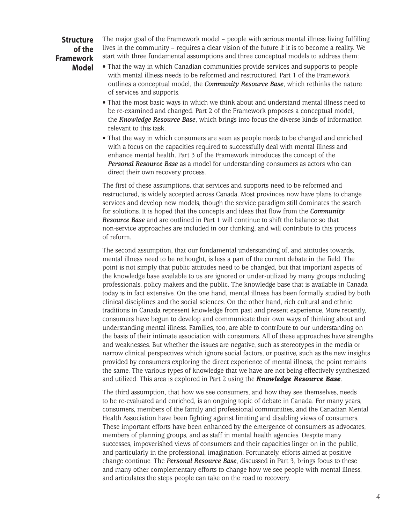# **Structure of the Framework Model**

The major goal of the Framework model – people with serious mental illness living fulfilling lives in the community – requires a clear vision of the future if it is to become a reality. We start with three fundamental assumptions and three conceptual models to address them:

- That the way in which Canadian communities provide services and supports to people with mental illness needs to be reformed and restructured. Part 1 of the Framework outlines a conceptual model, the *Community Resource Base*, which rethinks the nature of services and supports.
- That the most basic ways in which we think about and understand mental illness need to be re-examined and changed. Part 2 of the Framework proposes a conceptual model, the *Knowledge Resource Base*, which brings into focus the diverse kinds of information relevant to this task.
- That the way in which consumers are seen as people needs to be changed and enriched with a focus on the capacities required to successfully deal with mental illness and enhance mental health. Part 3 of the Framework introduces the concept of the *Personal Resource Base* as a model for understanding consumers as actors who can direct their own recovery process.

The first of these assumptions, that services and supports need to be reformed and restructured, is widely accepted across Canada. Most provinces now have plans to change services and develop new models, though the service paradigm still dominates the search for solutions. It is hoped that the concepts and ideas that flow from the *Community Resource Base* and are outlined in Part 1 will continue to shift the balance so that non-service approaches are included in our thinking, and will contribute to this process of reform.

The second assumption, that our fundamental understanding of, and attitudes towards, mental illness need to be rethought, is less a part of the current debate in the field. The point is not simply that public attitudes need to be changed, but that important aspects of the knowledge base available to us are ignored or under-utilized by many groups including professionals, policy makers and the public. The knowledge base that is available in Canada today is in fact extensive. On the one hand, mental illness has been formally studied by both clinical disciplines and the social sciences. On the other hand, rich cultural and ethnic traditions in Canada represent knowledge from past and present experience. More recently, consumers have begun to develop and communicate their own ways of thinking about and understanding mental illness. Families, too, are able to contribute to our understanding on the basis of their intimate association with consumers. All of these approaches have strengths and weaknesses. But whether the issues are negative, such as stereotypes in the media or narrow clinical perspectives which ignore social factors, or positive, such as the new insights provided by consumers exploring the direct experience of mental illness, the point remains the same. The various types of knowledge that we have are not being effectively synthesized and utilized. This area is explored in Part 2 using the *Knowledge Resource Base*.

The third assumption, that how we see consumers, and how they see themselves, needs to be re-evaluated and enriched, is an ongoing topic of debate in Canada. For many years, consumers, members of the family and professional communities, and the Canadian Mental Health Association have been fighting against limiting and disabling views of consumers. These important efforts have been enhanced by the emergence of consumers as advocates, members of planning groups, and as staff in mental health agencies. Despite many successes, impoverished views of consumers and their capacities linger on in the public, and particularly in the professional, imagination. Fortunately, efforts aimed at positive change continue. The *Personal Resource Base*, discussed in Part 3, brings focus to these and many other complementary efforts to change how we see people with mental illness, and articulates the steps people can take on the road to recovery.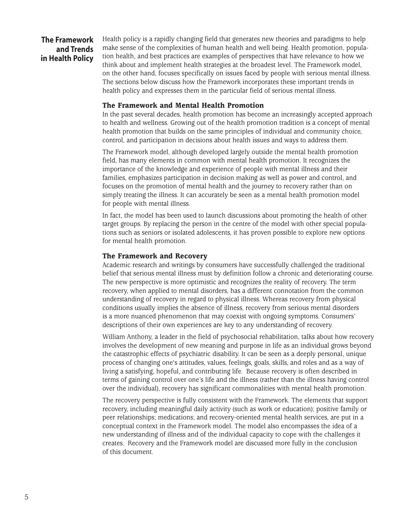# **The Framework and Trends in Health Policy**

Health policy is a rapidly changing field that generates new theories and paradigms to help make sense of the complexities of human health and well being. Health promotion, population health, and best practices are examples of perspectives that have relevance to how we think about and implement health strategies at the broadest level. The Framework model, on the other hand, focuses specifically on issues faced by people with serious mental illness. The sections below discuss how the Framework incorporates these important trends in health policy and expresses them in the particular field of serious mental illness.

# **The Framework and Mental Health Promotion**

In the past several decades, health promotion has become an increasingly accepted approach to health and wellness. Growing out of the health promotion tradition is a concept of mental health promotion that builds on the same principles of individual and community choice, control, and participation in decisions about health issues and ways to address them.

The Framework model, although developed largely outside the mental health promotion field, has many elements in common with mental health promotion. It recognizes the importance of the knowledge and experience of people with mental illness and their families, emphasizes participation in decision making as well as power and control, and focuses on the promotion of mental health and the journey to recovery rather than on simply treating the illness. It can accurately be seen as a mental health promotion model for people with mental illness.

In fact, the model has been used to launch discussions about promoting the health of other target groups. By replacing the person in the centre of the model with other special populations such as seniors or isolated adolescents, it has proven possible to explore new options for mental health promotion.

# **The Framework and Recovery**

Academic research and writings by consumers have successfully challenged the traditional belief that serious mental illness must by definition follow a chronic and deteriorating course. The new perspective is more optimistic and recognizes the reality of recovery. The term recovery, when applied to mental disorders, has a different connotation from the common understanding of recovery in regard to physical illness. Whereas recovery from physical conditions usually implies the absence of illness, recovery from serious mental disorders is a more nuanced phenomenon that may coexist with ongoing symptoms. Consumers' descriptions of their own experiences are key to any understanding of recovery.

William Anthony, a leader in the field of psychosocial rehabilitation, talks about how recovery involves the development of new meaning and purpose in life as an individual grows beyond the catastrophic effects of psychiatric disability. It can be seen as a deeply personal, unique process of changing one's attitudes, values, feelings, goals, skills, and roles and as a way of living a satisfying, hopeful, and contributing life. Because recovery is often described in terms of gaining control over one's life and the illness (rather than the illness having control over the individual), recovery has significant commonalities with mental health promotion.

The recovery perspective is fully consistent with the Framework. The elements that support recovery, including meaningful daily activity (such as work or education); positive family or peer relationships; medications; and recovery-oriented mental health services, are put in a conceptual context in the Framework model. The model also encompasses the idea of a new understanding of illness and of the individual capacity to cope with the challenges it creates. Recovery and the Framework model are discussed more fully in the conclusion of this document.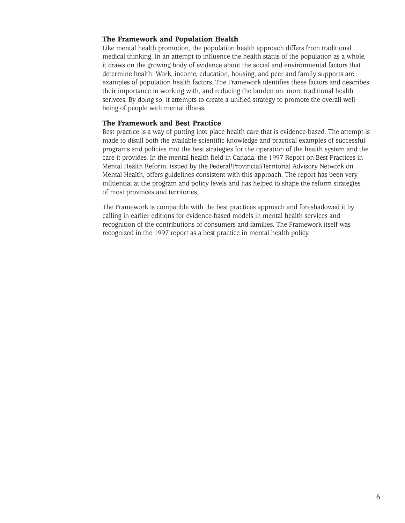# **The Framework and Population Health**

Like mental health promotion, the population health approach differs from traditional medical thinking. In an attempt to influence the health status of the population as a whole, it draws on the growing body of evidence about the social and environmental factors that determine health. Work, income, education, housing, and peer and family supports are examples of population health factors. The Framework identifies these factors and describes their importance in working with, and reducing the burden on, more traditional health serivces. By doing so, it attempts to create a unified strategy to promote the overall well being of people with mental illness.

# **The Framework and Best Practice**

Best practice is a way of putting into place health care that is evidence-based. The attempt is made to distill both the available scientific knowledge and practical examples of successful programs and policies into the best strategies for the operation of the health system and the care it provides. In the mental health field in Canada, the 1997 Report on Best Practices in Mental Health Reform, issued by the Federal/Provincial/Territorial Advisory Network on Mental Health, offers guidelines consistent with this approach. The report has been very influential at the program and policy levels and has helped to shape the reform strategies of most provinces and territories.

The Framework is compatible with the best practices approach and foreshadowed it by calling in earlier editions for evidence-based models in mental health services and recognition of the contributions of consumers and families. The Framework itself was recognized in the 1997 report as a best practice in mental health policy.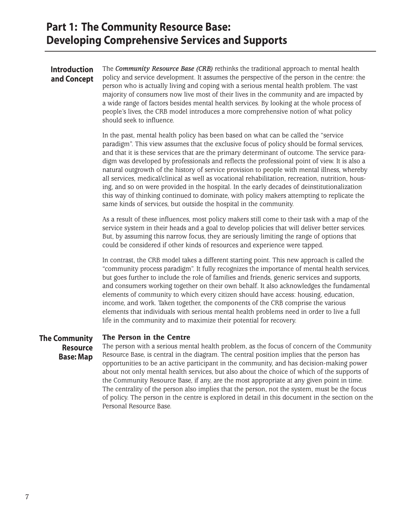# **Introduction and Concept**

The *Community Resource Base (CRB)* rethinks the traditional approach to mental health policy and service development. It assumes the perspective of the person in the centre: the person who is actually living and coping with a serious mental health problem. The vast majority of consumers now live most of their lives in the community and are impacted by a wide range of factors besides mental health services. By looking at the whole process of people's lives, the CRB model introduces a more comprehensive notion of what policy should seek to influence.

In the past, mental health policy has been based on what can be called the "service paradigm". This view assumes that the exclusive focus of policy should be formal services, and that it is these services that are the primary determinant of outcome. The service paradigm was developed by professionals and reflects the professional point of view. It is also a natural outgrowth of the history of service provision to people with mental illness, whereby all services, medical/clinical as well as vocational rehabilitation, recreation, nutrition, housing, and so on were provided in the hospital. In the early decades of deinstitutionalization this way of thinking continued to dominate, with policy makers attempting to replicate the same kinds of services, but outside the hospital in the community.

As a result of these influences, most policy makers still come to their task with a map of the service system in their heads and a goal to develop policies that will deliver better services. But, by assuming this narrow focus, they are seriously limiting the range of options that could be considered if other kinds of resources and experience were tapped.

In contrast, the CRB model takes a different starting point. This new approach is called the "community process paradigm". It fully recognizes the importance of mental health services, but goes further to include the role of families and friends, generic services and supports, and consumers working together on their own behalf. It also acknowledges the fundamental elements of community to which every citizen should have access: housing, education, income, and work. Taken together, the components of the CRB comprise the various elements that individuals with serious mental health problems need in order to live a full life in the community and to maximize their potential for recovery.

#### **The Person in the Centre The Community**

**Resource Base: Map**

The person with a serious mental health problem, as the focus of concern of the Community Resource Base, is central in the diagram. The central position implies that the person has opportunities to be an active participant in the community, and has decision-making power about not only mental health services, but also about the choice of which of the supports of the Community Resource Base, if any, are the most appropriate at any given point in time. The centrality of the person also implies that the person, not the system, must be the focus of policy. The person in the centre is explored in detail in this document in the section on the Personal Resource Base.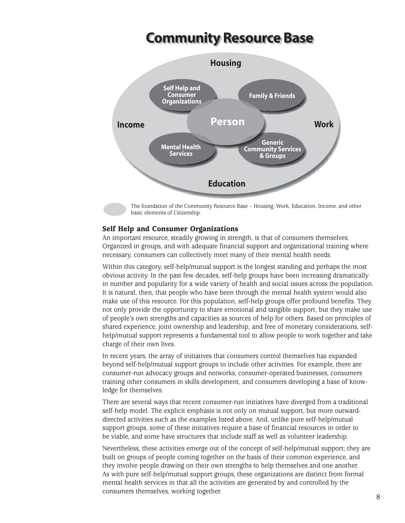# **Community Resource Base**



The foundation of the Community Resource Base – Housing, Work, Education, Income, and other basic elements of Citizenship.

# **Self Help and Consumer Organizations**

An important resource, steadily growing in strength, is that of consumers themselves. Organized in groups, and with adequate financial support and organizational training where necessary, consumers can collectively meet many of their mental health needs.

Within this category, self-help/mutual support is the longest standing and perhaps the most obvious activity. In the past few decades, self-help groups have been increasing dramatically in number and popularity for a wide variety of health and social issues across the population. It is natural, then, that people who have been through the mental health system would also make use of this resource. For this population, self-help groups offer profound benefits. They not only provide the opportunity to share emotional and tangible support, but they make use of people's own strengths and capacities as sources of help for others. Based on principles of shared experience, joint ownership and leadership, and free of monetary considerations, selfhelp/mutual support represents a fundamental tool to allow people to work together and take charge of their own lives.

In recent years, the array of initiatives that consumers control themselves has expanded beyond self-help/mutual support groups to include other activities. For example, there are consumer-run advocacy groups and networks, consumer-operated businesses, consumers training other consumers in skills development, and consumers developing a base of knowledge for themselves.

There are several ways that recent consumer-run initiatives have diverged from a traditional self-help model. The explicit emphasis is not only on mutual support, but more outwarddirected activities such as the examples listed above. And, unlike pure self-help/mutual support groups, some of these initiatives require a base of financial resources in order to be viable, and some have structures that include staff as well as volunteer leadership.

Nevertheless, these activities emerge out of the concept of self-help/mutual support; they are built on groups of people coming together on the basis of their common experience, and they involve people drawing on their own strengths to help themselves and one another. As with pure self-help/mutual support groups, these organizations are distinct from formal mental health services in that all the activities are generated by and controlled by the consumers themselves, working together. 8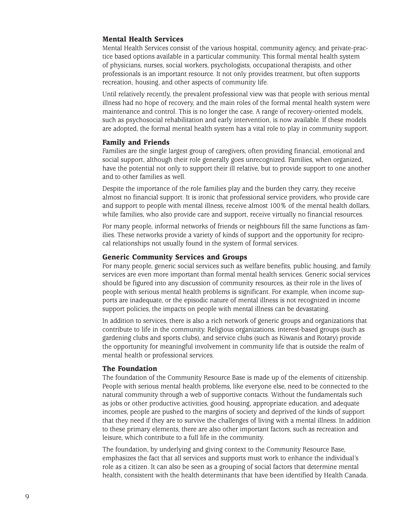# **Mental Health Services**

Mental Health Services consist of the various hospital, community agency, and private-practice based options available in a particular community. This formal mental health system of physicians, nurses, social workers, psychologists, occupational therapists, and other professionals is an important resource. It not only provides treatment, but often supports recreation, housing, and other aspects of community life.

Until relatively recently, the prevalent professional view was that people with serious mental illness had no hope of recovery, and the main roles of the formal mental health system were maintenance and control. This is no longer the case. A range of recovery-oriented models, such as psychosocial rehabilitation and early intervention, is now available. If these models are adopted, the formal mental health system has a vital role to play in community support.

# **Family and Friends**

Families are the single largest group of caregivers, often providing financial, emotional and social support, although their role generally goes unrecognized. Families, when organized, have the potential not only to support their ill relative, but to provide support to one another and to other families as well.

Despite the importance of the role families play and the burden they carry, they receive almost no financial support. It is ironic that professional service providers, who provide care and support to people with mental illness, receive almost 100% of the mental health dollars, while families, who also provide care and support, receive virtually no financial resources.

For many people, informal networks of friends or neighbours fill the same functions as families. These networks provide a variety of kinds of support and the opportunity for reciprocal relationships not usually found in the system of formal services.

# **Generic Community Services and Groups**

For many people, generic social services such as welfare benefits, public housing, and family services are even more important than formal mental health services. Generic social services should be figured into any discussion of community resources, as their role in the lives of people with serious mental health problems is significant. For example, when income supports are inadequate, or the episodic nature of mental illness is not recognized in income support policies, the impacts on people with mental illness can be devastating.

In addition to services, there is also a rich network of generic groups and organizations that contribute to life in the community. Religious organizations, interest-based groups (such as gardening clubs and sports clubs), and service clubs (such as Kiwanis and Rotary) provide the opportunity for meaningful involvement in community life that is outside the realm of mental health or professional services.

# **The Foundation**

The foundation of the Community Resource Base is made up of the elements of citizenship. People with serious mental health problems, like everyone else, need to be connected to the natural community through a web of supportive contacts. Without the fundamentals such as jobs or other productive activities, good housing, appropriate education, and adequate incomes, people are pushed to the margins of society and deprived of the kinds of support that they need if they are to survive the challenges of living with a mental illness. In addition to these primary elements, there are also other important factors, such as recreation and leisure, which contribute to a full life in the community.

The foundation, by underlying and giving context to the Community Resource Base, emphasizes the fact that all services and supports must work to enhance the individual's role as a citizen. It can also be seen as a grouping of social factors that determine mental health, consistent with the health determinants that have been identified by Health Canada.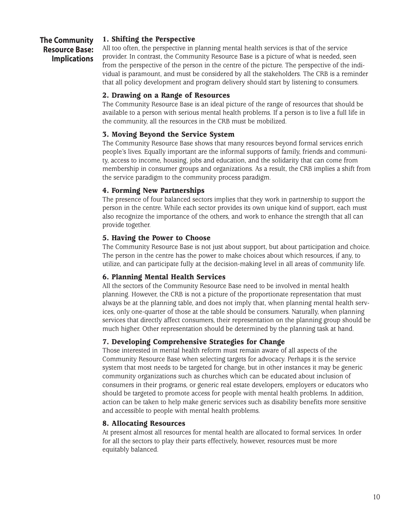# **The Community Resource Base: Implications**

# **1. Shifting the Perspective**

All too often, the perspective in planning mental health services is that of the service provider. In contrast, the Community Resource Base is a picture of what is needed, seen from the perspective of the person in the centre of the picture. The perspective of the individual is paramount, and must be considered by all the stakeholders. The CRB is a reminder that all policy development and program delivery should start by listening to consumers.

# **2. Drawing on a Range of Resources**

The Community Resource Base is an ideal picture of the range of resources that should be available to a person with serious mental health problems. If a person is to live a full life in the community, all the resources in the CRB must be mobilized.

# **3. Moving Beyond the Service System**

The Community Resource Base shows that many resources beyond formal services enrich people's lives. Equally important are the informal supports of family, friends and community, access to income, housing, jobs and education, and the solidarity that can come from membership in consumer groups and organizations. As a result, the CRB implies a shift from the service paradigm to the community process paradigm.

# **4. Forming New Partnerships**

The presence of four balanced sectors implies that they work in partnership to support the person in the centre. While each sector provides its own unique kind of support, each must also recognize the importance of the others, and work to enhance the strength that all can provide together.

# **5. Having the Power to Choose**

The Community Resource Base is not just about support, but about participation and choice. The person in the centre has the power to make choices about which resources, if any, to utilize, and can participate fully at the decision-making level in all areas of community life.

# **6. Planning Mental Health Services**

All the sectors of the Community Resource Base need to be involved in mental health planning. However, the CRB is not a picture of the proportionate representation that must always be at the planning table, and does not imply that, when planning mental health services, only one-quarter of those at the table should be consumers. Naturally, when planning services that directly affect consumers, their representation on the planning group should be much higher. Other representation should be determined by the planning task at hand.

# **7. Developing Comprehensive Strategies for Change**

Those interested in mental health reform must remain aware of all aspects of the Community Resource Base when selecting targets for advocacy. Perhaps it is the service system that most needs to be targeted for change, but in other instances it may be generic community organizations such as churches which can be educated about inclusion of consumers in their programs, or generic real estate developers, employers or educators who should be targeted to promote access for people with mental health problems. In addition, action can be taken to help make generic services such as disability benefits more sensitive and accessible to people with mental health problems.

# **8. Allocating Resources**

At present almost all resources for mental health are allocated to formal services. In order for all the sectors to play their parts effectively, however, resources must be more equitably balanced.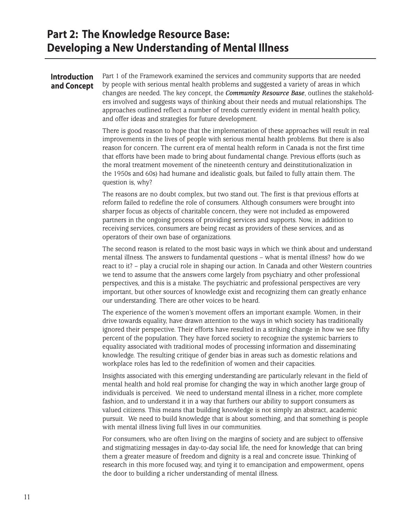# **Part 2: The Knowledge Resource Base: Developing a New Understanding of Mental Illness**

# **Introduction and Concept**

Part 1 of the Framework examined the services and community supports that are needed by people with serious mental health problems and suggested a variety of areas in which changes are needed. The key concept, the *Community Resource Base*, outlines the stakeholders involved and suggests ways of thinking about their needs and mutual relationships. The approaches outlined reflect a number of trends currently evident in mental health policy, and offer ideas and strategies for future development.

There is good reason to hope that the implementation of these approaches will result in real improvements in the lives of people with serious mental health problems. But there is also reason for concern. The current era of mental health reform in Canada is not the first time that efforts have been made to bring about fundamental change. Previous efforts (such as the moral treatment movement of the nineteenth century and deinstitutionalization in the 1950s and 60s) had humane and idealistic goals, but failed to fully attain them. The question is, why?

The reasons are no doubt complex, but two stand out. The first is that previous efforts at reform failed to redefine the role of consumers. Although consumers were brought into sharper focus as objects of charitable concern, they were not included as empowered partners in the ongoing process of providing services and supports. Now, in addition to receiving services, consumers are being recast as providers of these services, and as operators of their own base of organizations.

The second reason is related to the most basic ways in which we think about and understand mental illness. The answers to fundamental questions – what is mental illness? how do we react to it? – play a crucial role in shaping our action. In Canada and other Western countries we tend to assume that the answers come largely from psychiatry and other professional perspectives, and this is a mistake. The psychiatric and professional perspectives are very important, but other sources of knowledge exist and recognizing them can greatly enhance our understanding. There are other voices to be heard.

The experience of the women's movement offers an important example. Women, in their drive towards equality, have drawn attention to the ways in which society has traditionally ignored their perspective. Their efforts have resulted in a striking change in how we see fifty percent of the population. They have forced society to recognize the systemic barriers to equality associated with traditional modes of processing information and disseminating knowledge. The resulting critique of gender bias in areas such as domestic relations and workplace roles has led to the redefinition of women and their capacities.

Insights associated with this emerging understanding are particularly relevant in the field of mental health and hold real promise for changing the way in which another large group of individuals is perceived. We need to understand mental illness in a richer, more complete fashion, and to understand it in a way that furthers our ability to support consumers as valued citizens. This means that building knowledge is not simply an abstract, academic pursuit. We need to build knowledge that is about something, and that something is people with mental illness living full lives in our communities.

For consumers, who are often living on the margins of society and are subject to offensive and stigmatizing messages in day-to-day social life, the need for knowledge that can bring them a greater measure of freedom and dignity is a real and concrete issue. Thinking of research in this more focused way, and tying it to emancipation and empowerment, opens the door to building a richer understanding of mental illness.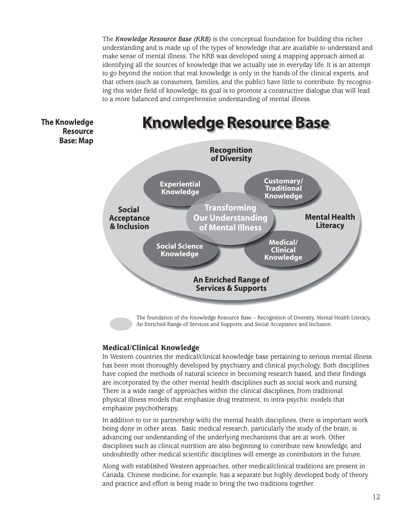The *Knowledge Resource Base (KRB)* is the conceptual foundation for building this richer understanding and is made up of the types of knowledge that are available to understand and make sense of mental illness. The KRB was developed using a mapping approach aimed at identifying all the sources of knowledge that we actually use in everyday life. It is an attempt to go beyond the notion that real knowledge is only in the hands of the clinical experts, and that others (such as consumers, families, and the public) have little to contribute. By recognizing this wider field of knowledge, its goal is to promote a constructive dialogue that will lead to a more balanced and comprehensive understanding of mental illness.

**The Knowledge Resource Base: Map**



The foundation of the Knowledge Resource Base – Recognition of Diversity, Mental Health Literacy, An Enriched Range of Services and Supports, and Social Acceptance and Inclusion.

# **Medical/Clinical Knowledge**

In Western countries the medical/clinical knowledge base pertaining to serious mental illness has been most thoroughly developed by psychiatry and clinical psychology. Both disciplines have copied the methods of natural science in becoming research based, and their findings are incorporated by the other mental health disciplines such as social work and nursing. There is a wide range of approaches within the clinical disciplines, from traditional physical illness models that emphasize drug treatment, to intra-psychic models that emphasize psychotherapy.

In addition to (or in partnership with) the mental health disciplines, there is important work being done in other areas. Basic medical research, particularly the study of the brain, is advancing our understanding of the underlying mechanisms that are at work. Other disciplines such as clinical nutrition are also beginning to contribute new knowledge, and undoubtedly other medical scientific disciplines will emerge as contributors in the future.

Along with established Western approaches, other medical/clinical traditions are present in Canada. Chinese medicine, for example, has a separate but highly developed body of theory and practice and effort is being made to bring the two traditions together.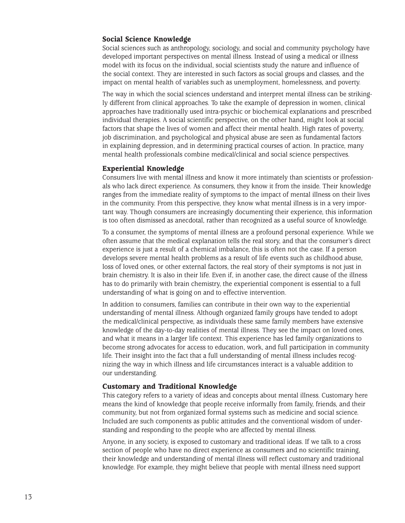# **Social Science Knowledge**

Social sciences such as anthropology, sociology, and social and community psychology have developed important perspectives on mental illness. Instead of using a medical or illness model with its focus on the individual, social scientists study the nature and influence of the social context. They are interested in such factors as social groups and classes, and the impact on mental health of variables such as unemployment, homelessness, and poverty.

The way in which the social sciences understand and interpret mental illness can be strikingly different from clinical approaches. To take the example of depression in women, clinical approaches have traditionally used intra-psychic or biochemical explanations and prescribed individual therapies. A social scientific perspective, on the other hand, might look at social factors that shape the lives of women and affect their mental health. High rates of poverty, job discrimination, and psychological and physical abuse are seen as fundamental factors in explaining depression, and in determining practical courses of action. In practice, many mental health professionals combine medical/clinical and social science perspectives.

## **Experiential Knowledge**

Consumers live with mental illness and know it more intimately than scientists or professionals who lack direct experience. As consumers, they know it from the inside. Their knowledge ranges from the immediate reality of symptoms to the impact of mental illness on their lives in the community. From this perspective, they know what mental illness is in a very important way. Though consumers are increasingly documenting their experience, this information is too often dismissed as anecdotal, rather than recognized as a useful source of knowledge.

To a consumer, the symptoms of mental illness are a profound personal experience. While we often assume that the medical explanation tells the real story, and that the consumer's direct experience is just a result of a chemical imbalance, this is often not the case. If a person develops severe mental health problems as a result of life events such as childhood abuse, loss of loved ones, or other external factors, the real story of their symptoms is not just in brain chemistry. It is also in their life. Even if, in another case, the direct cause of the illness has to do primarily with brain chemistry, the experiential component is essential to a full understanding of what is going on and to effective intervention.

In addition to consumers, families can contribute in their own way to the experiential understanding of mental illness. Although organized family groups have tended to adopt the medical/clinical perspective, as individuals these same family members have extensive knowledge of the day-to-day realities of mental illness. They see the impact on loved ones, and what it means in a larger life context. This experience has led family organizations to become strong advocates for access to education, work, and full participation in community life. Their insight into the fact that a full understanding of mental illness includes recognizing the way in which illness and life circumstances interact is a valuable addition to our understanding.

## **Customary and Traditional Knowledge**

This category refers to a variety of ideas and concepts about mental illness. Customary here means the kind of knowledge that people receive informally from family, friends, and their community, but not from organized formal systems such as medicine and social science. Included are such components as public attitudes and the conventional wisdom of understanding and responding to the people who are affected by mental illness.

Anyone, in any society, is exposed to customary and traditional ideas. If we talk to a cross section of people who have no direct experience as consumers and no scientific training, their knowledge and understanding of mental illness will reflect customary and traditional knowledge. For example, they might believe that people with mental illness need support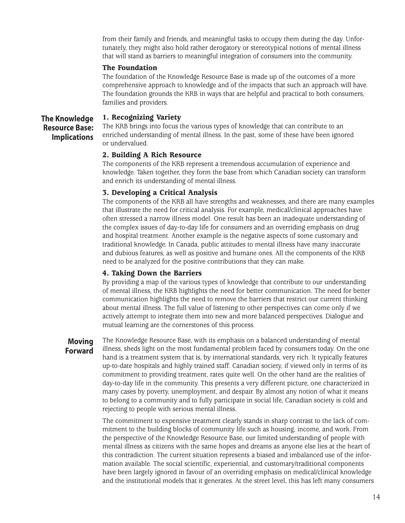from their family and friends, and meaningful tasks to occupy them during the day. Unfortunately, they might also hold rather derogatory or stereotypical notions of mental illness that will stand as barriers to meaningful integration of consumers into the community.

# **The Foundation**

The foundation of the Knowledge Resource Base is made up of the outcomes of a more comprehensive approach to knowledge and of the impacts that such an approach will have. The foundation grounds the KRB in ways that are helpful and practical to both consumers, families and providers.

#### **1. Recognizing Variety The Knowledge**

**Resource Base: Implications** The KRB brings into focus the various types of knowledge that can contribute to an enriched understanding of mental illness. In the past, some of these have been ignored or undervalued.

# **2. Building A Rich Resource**

The components of the KRB represent a tremendous accumulation of experience and knowledge. Taken together, they form the base from which Canadian society can transform and enrich its understanding of mental illness.

# **3. Developing a Critical Analysis**

The components of the KRB all have strengths and weaknesses, and there are many examples that illustrate the need for critical analysis. For example, medical/clinical approaches have often stressed a narrow illness model. One result has been an inadequate understanding of the complex issues of day-to-day life for consumers and an overriding emphasis on drug and hospital treatment. Another example is the negative aspects of some customary and traditional knowledge. In Canada, public attitudes to mental illness have many inaccurate and dubious features, as well as positive and humane ones. All the components of the KRB need to be analyzed for the positive contributions that they can make.

## **4. Taking Down the Barriers**

By providing a map of the various types of knowledge that contribute to our understanding of mental illness, the KRB highlights the need for better communication. The need for better communication highlights the need to remove the barriers that restrict our current thinking about mental illness. The full value of listening to other perspectives can come only if we actively attempt to integrate them into new and more balanced perspectives. Dialogue and mutual learning are the cornerstones of this process.

# **Moving Forward**

The Knowledge Resource Base, with its emphasis on a balanced understanding of mental illness, sheds light on the most fundamental problem faced by consumers today. On the one hand is a treatment system that is, by international standards, very rich. It typically features up-to-date hospitals and highly trained staff. Canadian society, if viewed only in terms of its commitment to providing treatment, rates quite well. On the other hand are the realities of day-to-day life in the community. This presents a very different picture, one characterized in many cases by poverty, unemployment, and despair. By almost any notion of what it means to belong to a community and to fully participate in social life, Canadian society is cold and rejecting to people with serious mental illness.

The commitment to expensive treatment clearly stands in sharp contrast to the lack of commitment to the building blocks of community life such as housing, income, and work. From the perspective of the Knowledge Resource Base, our limited understanding of people with mental illness as citizens with the same hopes and dreams as anyone else lies at the heart of this contradiction. The current situation represents a biased and imbalanced use of the information available. The social scientific, experiential, and customary/traditional components have been largely ignored in favour of an overriding emphasis on medical/clinical knowledge and the institutional models that it generates. At the street level, this has left many consumers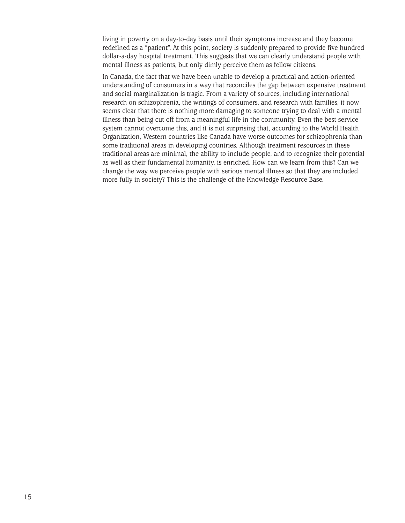living in poverty on a day-to-day basis until their symptoms increase and they become redefined as a "patient". At this point, society is suddenly prepared to provide five hundred dollar-a-day hospital treatment. This suggests that we can clearly understand people with mental illness as patients, but only dimly perceive them as fellow citizens.

In Canada, the fact that we have been unable to develop a practical and action-oriented understanding of consumers in a way that reconciles the gap between expensive treatment and social marginalization is tragic. From a variety of sources, including international research on schizophrenia, the writings of consumers, and research with families, it now seems clear that there is nothing more damaging to someone trying to deal with a mental illness than being cut off from a meaningful life in the community. Even the best service system cannot overcome this, and it is not surprising that, according to the World Health Organization, Western countries like Canada have worse outcomes for schizophrenia than some traditional areas in developing countries. Although treatment resources in these traditional areas are minimal, the ability to include people, and to recognize their potential as well as their fundamental humanity, is enriched. How can we learn from this? Can we change the way we perceive people with serious mental illness so that they are included more fully in society? This is the challenge of the Knowledge Resource Base.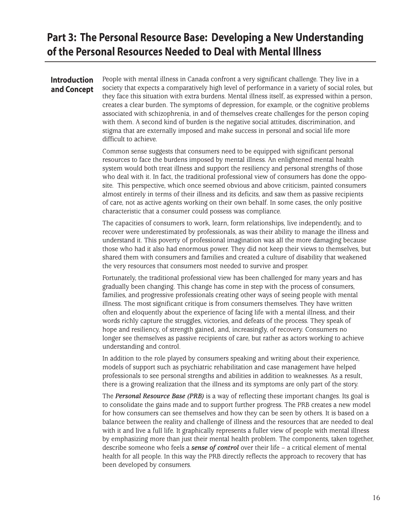# **Part 3: The Personal Resource Base: Developing a New Understanding of the Personal Resources Needed to Deal with Mental Illness**

# **Introduction and Concept**

People with mental illness in Canada confront a very significant challenge. They live in a society that expects a comparatively high level of performance in a variety of social roles, but they face this situation with extra burdens. Mental illness itself, as expressed within a person, creates a clear burden. The symptoms of depression, for example, or the cognitive problems associated with schizophrenia, in and of themselves create challenges for the person coping with them. A second kind of burden is the negative social attitudes, discrimination, and stigma that are externally imposed and make success in personal and social life more difficult to achieve.

Common sense suggests that consumers need to be equipped with significant personal resources to face the burdens imposed by mental illness. An enlightened mental health system would both treat illness and support the resiliency and personal strengths of those who deal with it. In fact, the traditional professional view of consumers has done the opposite. This perspective, which once seemed obvious and above criticism, painted consumers almost entirely in terms of their illness and its deficits, and saw them as passive recipients of care, not as active agents working on their own behalf. In some cases, the only positive characteristic that a consumer could possess was compliance.

The capacities of consumers to work, learn, form relationships, live independently, and to recover were underestimated by professionals, as was their ability to manage the illness and understand it. This poverty of professional imagination was all the more damaging because those who had it also had enormous power. They did not keep their views to themselves, but shared them with consumers and families and created a culture of disability that weakened the very resources that consumers most needed to survive and prosper.

Fortunately, the traditional professional view has been challenged for many years and has gradually been changing. This change has come in step with the process of consumers, families, and progressive professionals creating other ways of seeing people with mental illness. The most significant critique is from consumers themselves. They have written often and eloquently about the experience of facing life with a mental illness, and their words richly capture the struggles, victories, and defeats of the process. They speak of hope and resiliency, of strength gained, and, increasingly, of recovery. Consumers no longer see themselves as passive recipients of care, but rather as actors working to achieve understanding and control.

In addition to the role played by consumers speaking and writing about their experience, models of support such as psychiatric rehabilitation and case management have helped professionals to see personal strengths and abilities in addition to weaknesses. As a result, there is a growing realization that the illness and its symptoms are only part of the story.

The *Personal Resource Base (PRB)* is a way of reflecting these important changes. Its goal is to consolidate the gains made and to support further progress. The PRB creates a new model for how consumers can see themselves and how they can be seen by others. It is based on a balance between the reality and challenge of illness and the resources that are needed to deal with it and live a full life. It graphically represents a fuller view of people with mental illness by emphasizing more than just their mental health problem. The components, taken together, describe someone who feels a *sense of control* over their life – a critical element of mental health for all people. In this way the PRB directly reflects the approach to recovery that has been developed by consumers.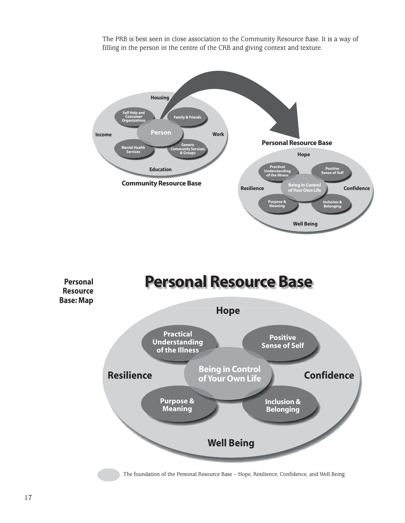

The PRB is best seen in close association to the Community Resource Base. It is a way of filling in the person in the centre of the CRB and giving context and texture.

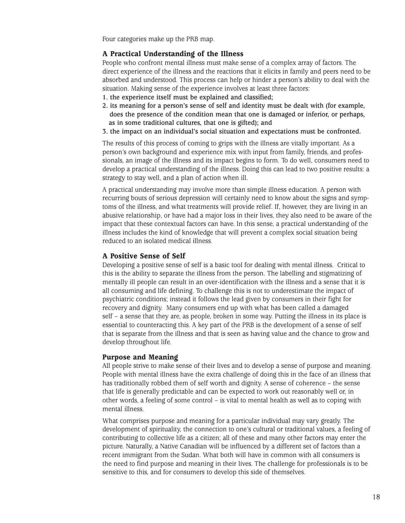Four categories make up the PRB map.

# **A Practical Understanding of the Illness**

People who confront mental illness must make sense of a complex array of factors. The direct experience of the illness and the reactions that it elicits in family and peers need to be absorbed and understood. This process can help or hinder a person's ability to deal with the situation. Making sense of the experience involves at least three factors:

- **1. the experience itself must be explained and classified;**
- **2. its meaning for a person's sense of self and identity must be dealt with (for example, does the presence of the condition mean that one is damaged or inferior, or perhaps, as in some traditional cultures, that one is gifted); and**
- **3. the impact on an individual's social situation and expectations must be confronted.**

The results of this process of coming to grips with the illness are vitally important. As a person's own background and experience mix with input from family, friends, and professionals, an image of the illness and its impact begins to form. To do well, consumers need to develop a practical understanding of the illness. Doing this can lead to two positive results: a strategy to stay well, and a plan of action when ill.

A practical understanding may involve more than simple illness education. A person with recurring bouts of serious depression will certainly need to know about the signs and symptoms of the illness, and what treatments will provide relief. If, however, they are living in an abusive relationship, or have had a major loss in their lives, they also need to be aware of the impact that these contextual factors can have. In this sense, a practical understanding of the illness includes the kind of knowledge that will prevent a complex social situation being reduced to an isolated medical illness.

## **A Positive Sense of Self**

Developing a positive sense of self is a basic tool for dealing with mental illness. Critical to this is the ability to separate the illness from the person. The labelling and stigmatizing of mentally ill people can result in an over-identification with the illness and a sense that it is all consuming and life defining. To challenge this is not to underestimate the impact of psychiatric conditions; instead it follows the lead given by consumers in their fight for recovery and dignity. Many consumers end up with what has been called a damaged self – a sense that they are, as people, broken in some way. Putting the illness in its place is essential to counteracting this. A key part of the PRB is the development of a sense of self that is separate from the illness and that is seen as having value and the chance to grow and develop throughout life.

#### **Purpose and Meaning**

All people strive to make sense of their lives and to develop a sense of purpose and meaning. People with mental illness have the extra challenge of doing this in the face of an illness that has traditionally robbed them of self worth and dignity. A sense of coherence – the sense that life is generally predictable and can be expected to work out reasonably well or, in other words, a feeling of some control – is vital to mental health as well as to coping with mental illness.

What comprises purpose and meaning for a particular individual may vary greatly. The development of spirituality, the connection to one's cultural or traditional values, a feeling of contributing to collective life as a citizen; all of these and many other factors may enter the picture. Naturally, a Native Canadian will be influenced by a different set of factors than a recent immigrant from the Sudan. What both will have in common with all consumers is the need to find purpose and meaning in their lives. The challenge for professionals is to be sensitive to this, and for consumers to develop this side of themselves.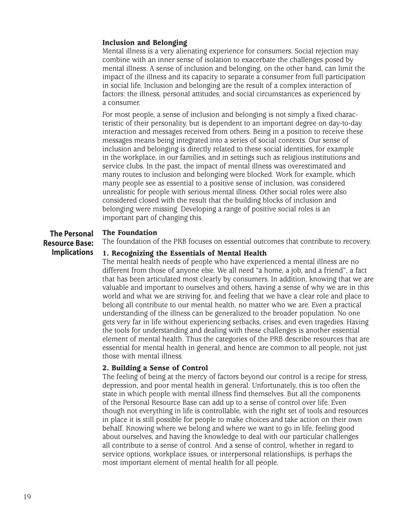# **Inclusion and Belonging**

Mental illness is a very alienating experience for consumers. Social rejection may combine with an inner sense of isolation to exacerbate the challenges posed by mental illness. A sense of inclusion and belonging, on the other hand, can limit the impact of the illness and its capacity to separate a consumer from full participation in social life. Inclusion and belonging are the result of a complex interaction of factors: the illness, personal attitudes, and social circumstances as experienced by a consumer.

For most people, a sense of inclusion and belonging is not simply a fixed characteristic of their personality, but is dependent to an important degree on day-to-day interaction and messages received from others. Being in a position to receive these messages means being integrated into a series of social contexts. Our sense of inclusion and belonging is directly related to these social identities, for example in the workplace, in our families, and in settings such as religious institutions and service clubs. In the past, the impact of mental illness was overestimated and many routes to inclusion and belonging were blocked. Work for example, which many people see as essential to a positive sense of inclusion, was considered unrealistic for people with serious mental illness. Other social roles were also considered closed with the result that the building blocks of inclusion and belonging were missing. Developing a range of positive social roles is an important part of changing this.

#### **The Foundation The Personal**

**Resource Base:**

The foundation of the PRB focuses on essential outcomes that contribute to recovery.

#### **1. Recognizing the Essentials of Mental Health Implications**

The mental health needs of people who have experienced a mental illness are no different from those of anyone else. We all need "a home, a job, and a friend", a fact that has been articulated most clearly by consumers. In addition, knowing that we are valuable and important to ourselves and others, having a sense of why we are in this world and what we are striving for, and feeling that we have a clear role and place to belong all contribute to our mental health, no matter who we are. Even a practical understanding of the illness can be generalized to the broader population. No one gets very far in life without experiencing setbacks, crises, and even tragedies. Having the tools for understanding and dealing with these challenges is another essential element of mental health. Thus the categories of the PRB describe resources that are essential for mental health in general, and hence are common to all people, not just those with mental illness.

# **2. Building a Sense of Control**

The feeling of being at the mercy of factors beyond our control is a recipe for stress, depression, and poor mental health in general. Unfortunately, this is too often the state in which people with mental illness find themselves. But all the components of the Personal Resource Base can add up to a sense of control over life. Even though not everything in life is controllable, with the right set of tools and resources in place it is still possible for people to make choices and take action on their own behalf. Knowing where we belong and where we want to go in life, feeling good about ourselves, and having the knowledge to deal with our particular challenges all contribute to a sense of control. And a sense of control, whether in regard to service options, workplace issues, or interpersonal relationships, is perhaps the most important element of mental health for all people.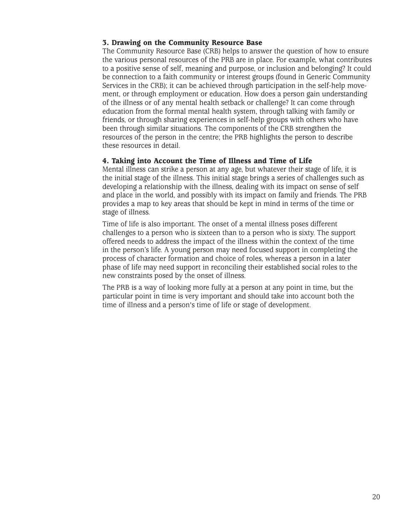# **3. Drawing on the Community Resource Base**

The Community Resource Base (CRB) helps to answer the question of how to ensure the various personal resources of the PRB are in place. For example, what contributes to a positive sense of self, meaning and purpose, or inclusion and belonging? It could be connection to a faith community or interest groups (found in Generic Community Services in the CRB); it can be achieved through participation in the self-help movement, or through employment or education. How does a person gain understanding of the illness or of any mental health setback or challenge? It can come through education from the formal mental health system, through talking with family or friends, or through sharing experiences in self-help groups with others who have been through similar situations. The components of the CRB strengthen the resources of the person in the centre; the PRB highlights the person to describe these resources in detail.

# **4. Taking into Account the Time of Illness and Time of Life**

Mental illness can strike a person at any age, but whatever their stage of life, it is the initial stage of the illness. This initial stage brings a series of challenges such as developing a relationship with the illness, dealing with its impact on sense of self and place in the world, and possibly with its impact on family and friends. The PRB provides a map to key areas that should be kept in mind in terms of the time or stage of illness.

Time of life is also important. The onset of a mental illness poses different challenges to a person who is sixteen than to a person who is sixty. The support offered needs to address the impact of the illness within the context of the time in the person's life. A young person may need focused support in completing the process of character formation and choice of roles, whereas a person in a later phase of life may need support in reconciling their established social roles to the new constraints posed by the onset of illness.

The PRB is a way of looking more fully at a person at any point in time, but the particular point in time is very important and should take into account both the time of illness and a person's time of life or stage of development.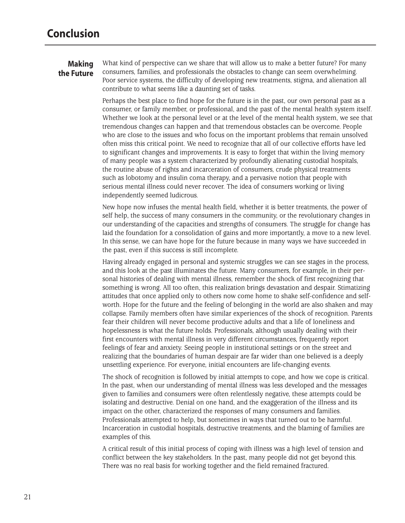# **Making the Future**

What kind of perspective can we share that will allow us to make a better future? For many consumers, families, and professionals the obstacles to change can seem overwhelming. Poor service systems, the difficulty of developing new treatments, stigma, and alienation all contribute to what seems like a daunting set of tasks.

Perhaps the best place to find hope for the future is in the past, our own personal past as a consumer, or family member, or professional, and the past of the mental health system itself. Whether we look at the personal level or at the level of the mental health system, we see that tremendous changes can happen and that tremendous obstacles can be overcome. People who are close to the issues and who focus on the important problems that remain unsolved often miss this critical point. We need to recognize that all of our collective efforts have led to significant changes and improvements. It is easy to forget that within the living memory of many people was a system characterized by profoundly alienating custodial hospitals, the routine abuse of rights and incarceration of consumers, crude physical treatments such as lobotomy and insulin coma therapy, and a pervasive notion that people with serious mental illness could never recover. The idea of consumers working or living independently seemed ludicrous.

New hope now infuses the mental health field, whether it is better treatments, the power of self help, the success of many consumers in the community, or the revolutionary changes in our understanding of the capacities and strengths of consumers. The struggle for change has laid the foundation for a consolidation of gains and more importantly, a move to a new level. In this sense, we can have hope for the future because in many ways we have succeeded in the past, even if this success is still incomplete.

Having already engaged in personal and systemic struggles we can see stages in the process, and this look at the past illuminates the future. Many consumers, for example, in their personal histories of dealing with mental illness, remember the shock of first recognizing that something is wrong. All too often, this realization brings devastation and despair. Stimatizing attitudes that once applied only to others now come home to shake self-confidence and selfworth. Hope for the future and the feeling of belonging in the world are also shaken and may collapse. Family members often have similar experiences of the shock of recognition. Parents fear their children will never become productive adults and that a life of loneliness and hopelessness is what the future holds. Professionals, although usually dealing with their first encounters with mental illness in very different circumstances, frequently report feelings of fear and anxiety. Seeing people in institutional settings or on the street and realizing that the boundaries of human despair are far wider than one believed is a deeply unsettling experience. For everyone, initial encounters are life-changing events.

The shock of recognition is followed by initial attempts to cope, and how we cope is critical. In the past, when our understanding of mental illness was less developed and the messages given to families and consumers were often relentlessly negative, these attempts could be isolating and destructive. Denial on one hand, and the exaggeration of the illness and its impact on the other, characterized the responses of many consumers and families. Professionals attempted to help, but sometimes in ways that turned out to be harmful. Incarceration in custodial hospitals, destructive treatments, and the blaming of families are examples of this.

A critical result of this initial process of coping with illness was a high level of tension and conflict between the key stakeholders. In the past, many people did not get beyond this. There was no real basis for working together and the field remained fractured.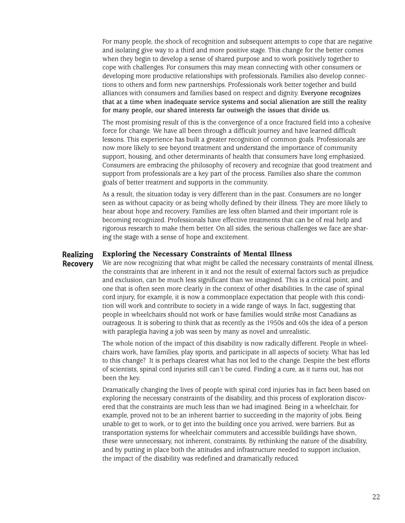For many people, the shock of recognition and subsequent attempts to cope that are negative and isolating give way to a third and more positive stage. This change for the better comes when they begin to develop a sense of shared purpose and to work positively together to cope with challenges. For consumers this may mean connecting with other consumers or developing more productive relationships with professionals. Families also develop connections to others and form new partnerships. Professionals work better together and build alliances with consumers and families based on respect and dignity. **Everyone recognizes that at a time when inadequate service systems and social alienation are still the reality for many people, our shared interests far outweigh the issues that divide us.** 

The most promising result of this is the convergence of a once fractured field into a cohesive force for change. We have all been through a difficult journey and have learned difficult lessons. This experience has built a greater recognition of common goals. Professionals are now more likely to see beyond treatment and understand the importance of community support, housing, and other determinants of health that consumers have long emphasized. Consumers are embracing the philosophy of recovery and recognize that good treatment and support from professionals are a key part of the process. Families also share the common goals of better treatment and supports in the community.

As a result, the situation today is very different than in the past. Consumers are no longer seen as without capacity or as being wholly defined by their illness. They are more likely to hear about hope and recovery. Families are less often blamed and their important role is becoming recognized. Professionals have effective treatments that can be of real help and rigorous research to make them better. On all sides, the serious challenges we face are sharing the stage with a sense of hope and excitement.

# **Realizing Recovery**

# **Exploring the Necessary Constraints of Mental Illness**

We are now recognizing that what might be called the necessary constraints of mental illness, the constraints that are inherent in it and not the result of external factors such as prejudice and exclusion, can be much less significant than we imagined. This is a critical point, and one that is often seen more clearly in the context of other disabilities. In the case of spinal cord injury, for example, it is now a commonplace expectation that people with this condition will work and contribute to society in a wide range of ways. In fact, suggesting that people in wheelchairs should not work or have families would strike most Canadians as outrageous. It is sobering to think that as recently as the 1950s and 60s the idea of a person with paraplegia having a job was seen by many as novel and unrealistic.

The whole notion of the impact of this disability is now radically different. People in wheelchairs work, have families, play sports, and participate in all aspects of society. What has led to this change? It is perhaps clearest what has not led to the change. Despite the best efforts of scientists, spinal cord injuries still can't be cured. Finding a cure, as it turns out, has not been the key.

Dramatically changing the lives of people with spinal cord injuries has in fact been based on exploring the necessary constraints of the disability, and this process of exploration discovered that the constraints are much less than we had imagined. Being in a wheelchair, for example, proved not to be an inherent barrier to succeeding in the majority of jobs. Being unable to get to work, or to get into the building once you arrived, were barriers. But as transportation systems for wheelchair commuters and accessible buildings have shown, these were unnecessary, not inherent, constraints. By rethinking the nature of the disability, and by putting in place both the attitudes and infrastructure needed to support inclusion, the impact of the disability was redefined and dramatically reduced.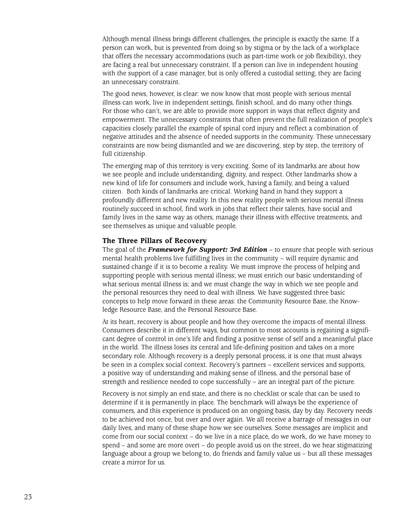Although mental illness brings different challenges, the principle is exactly the same. If a person can work, but is prevented from doing so by stigma or by the lack of a workplace that offers the necessary accommodations (such as part-time work or job flexibility), they are facing a real but unnecessary constraint. If a person can live in independent housing with the support of a case manager, but is only offered a custodial setting, they are facing an unnecessary constraint.

The good news, however, is clear: we now know that most people with serious mental illness can work, live in independent settings, finish school, and do many other things. For those who can't, we are able to provide more support in ways that reflect dignity and empowerment. The unnecessary constraints that often prevent the full realization of people's capacities closely parallel the example of spinal cord injury and reflect a combination of negative attitudes and the absence of needed supports in the community. These unnecessary constraints are now being dismantled and we are discovering, step by step, the territory of full citizenship.

The emerging map of this territory is very exciting. Some of its landmarks are about how we see people and include understanding, dignity, and respect. Other landmarks show a new kind of life for consumers and include work, having a family, and being a valued citizen. Both kinds of landmarks are critical. Working hand in hand they support a profoundly different and new reality. In this new reality people with serious mental illness routinely succeed in school, find work in jobs that reflect their talents, have social and family lives in the same way as others, manage their illness with effective treatments, and see themselves as unique and valuable people.

### **The Three Pillars of Recovery**

The goal of the *Framework for Support: 3rd Edition* – to ensure that people with serious mental health problems live fulfilling lives in the community – will require dynamic and sustained change if it is to become a reality. We must improve the process of helping and supporting people with serious mental illness; we must enrich our basic understanding of what serious mental illness is; and we must change the way in which we see people and the personal resources they need to deal with illness. We have suggested three basic concepts to help move forward in these areas: the Community Resource Base, the Knowledge Resource Base, and the Personal Resource Base.

At its heart, recovery is about people and how they overcome the impacts of mental illness. Consumers describe it in different ways, but common to most accounts is regaining a significant degree of control in one's life and finding a positive sense of self and a meaningful place in the world. The illness loses its central and life-defining position and takes on a more secondary role. Although recovery is a deeply personal process, it is one that must always be seen in a complex social context. Recovery's partners – excellent services and supports, a positive way of understanding and making sense of illness, and the personal base of strength and resilience needed to cope successfully – are an integral part of the picture.

Recovery is not simply an end state, and there is no checklist or scale that can be used to determine if it is permanently in place. The benchmark will always be the experience of consumers, and this experience is produced on an ongoing basis, day by day. Recovery needs to be achieved not once, but over and over again. We all receive a barrage of messages in our daily lives, and many of these shape how we see ourselves. Some messages are implicit and come from our social context – do we live in a nice place, do we work, do we have money to spend – and some are more overt – do people avoid us on the street, do we hear stigmatizing language about a group we belong to, do friends and family value us – but all these messages create a mirror for us.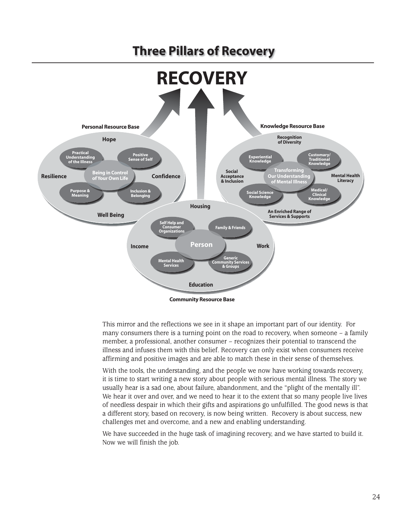# **Three Pillars of Recovery**



This mirror and the reflections we see in it shape an important part of our identity. For many consumers there is a turning point on the road to recovery, when someone  $-$  a family member, a professional, another consumer – recognizes their potential to transcend the illness and infuses them with this belief. Recovery can only exist when consumers receive affirming and positive images and are able to match these in their sense of themselves.

With the tools, the understanding, and the people we now have working towards recovery, it is time to start writing a new story about people with serious mental illness. The story we usually hear is a sad one, about failure, abandonment, and the "plight of the mentally ill". We hear it over and over, and we need to hear it to the extent that so many people live lives of needless despair in which their gifts and aspirations go unfulfilled. The good news is that a different story, based on recovery, is now being written. Recovery is about success, new challenges met and overcome, and a new and enabling understanding.

We have succeeded in the huge task of imagining recovery, and we have started to build it. Now we will finish the job.